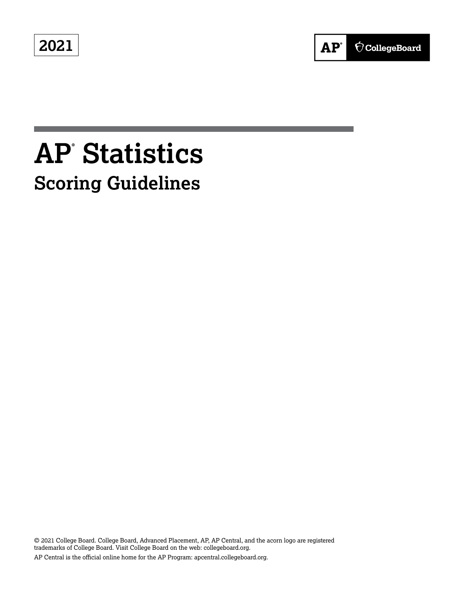**2021**



# **AP® Statistics Scoring Guidelines**

© 2021 College Board. College Board, Advanced Placement, AP, AP Central, and the acorn logo are registered trademarks of College Board. Visit College Board on the web: collegeboard.org. AP Central is the official online home for the AP Program: apcentral.collegeboard.org.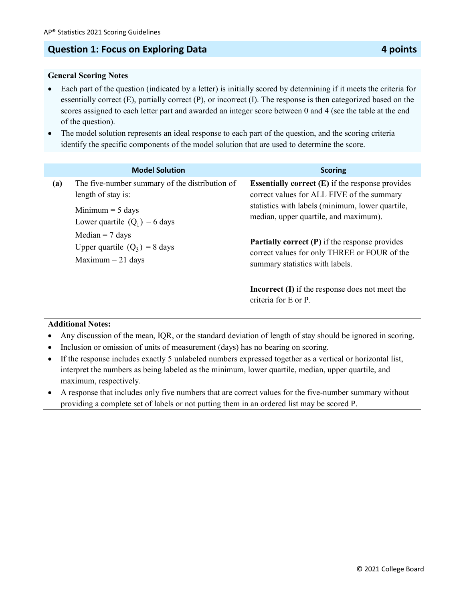### **Question 1: Focus on Exploring Data All and Security Association 4 points 4 points**

#### **General Scoring Notes**

- Each part of the question (indicated by a letter) is initially scored by determining if it meets the criteria for essentially correct (E), partially correct (P), or incorrect (I). The response is then categorized based on the scores assigned to each letter part and awarded an integer score between 0 and 4 (see the table at the end of the question).
- The model solution represents an ideal response to each part of the question, and the scoring criteria identify the specific components of the model solution that are used to determine the score.

|     | <b>Model Solution</b>                                                                                          | <b>Scoring</b>                                                                                                                                                                                                  |
|-----|----------------------------------------------------------------------------------------------------------------|-----------------------------------------------------------------------------------------------------------------------------------------------------------------------------------------------------------------|
| (a) | The five-number summary of the distribution of<br>length of stay is:<br>Minimum $=$ 5 days                     | <b>Essentially correct <math>(E)</math></b> if the response provides<br>correct values for ALL FIVE of the summary<br>statistics with labels (minimum, lower quartile,<br>median, upper quartile, and maximum). |
|     | Lower quartile $(Q_1) = 6$ days<br>Median $= 7$ days<br>Upper quartile $(Q_3) = 8$ days<br>Maximum $= 21$ days | <b>Partially correct (P)</b> if the response provides<br>correct values for only THREE or FOUR of the<br>summary statistics with labels.                                                                        |
|     |                                                                                                                | <b>Incorrect</b> $(I)$ if the response does not meet the<br>criteria for E or P.                                                                                                                                |

- Any discussion of the mean, IQR, or the standard deviation of length of stay should be ignored in scoring.
- Inclusion or omission of units of measurement (days) has no bearing on scoring.
- If the response includes exactly 5 unlabeled numbers expressed together as a vertical or horizontal list, interpret the numbers as being labeled as the minimum, lower quartile, median, upper quartile, and maximum, respectively.
- A response that includes only five numbers that are correct values for the five-number summary without providing a complete set of labels or not putting them in an ordered list may be scored P.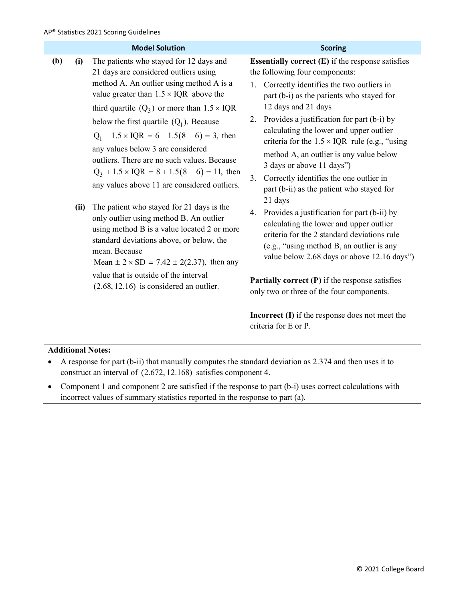|     |      | <b>Model Solution</b>                                                                                                                                                                                                                                                                                                                                                                                                                                                                                                                | <b>Scoring</b>                                                                                                                                                                                                                                                                                                                                                                                                                                                                                                                                                                    |
|-----|------|--------------------------------------------------------------------------------------------------------------------------------------------------------------------------------------------------------------------------------------------------------------------------------------------------------------------------------------------------------------------------------------------------------------------------------------------------------------------------------------------------------------------------------------|-----------------------------------------------------------------------------------------------------------------------------------------------------------------------------------------------------------------------------------------------------------------------------------------------------------------------------------------------------------------------------------------------------------------------------------------------------------------------------------------------------------------------------------------------------------------------------------|
| (b) | (i)  | The patients who stayed for 12 days and<br>21 days are considered outliers using<br>method A. An outlier using method A is a<br>value greater than $1.5 \times IQR$ above the<br>third quartile $(Q_3)$ or more than $1.5 \times IQR$<br>below the first quartile $(Q_1)$ . Because<br>$Q_1 - 1.5 \times IQR = 6 - 1.5(8 - 6) = 3$ , then<br>any values below 3 are considered<br>outliers. There are no such values. Because<br>$Q_3 + 1.5 \times IQR = 8 + 1.5(8 - 6) = 11$ , then<br>any values above 11 are considered outliers. | <b>Essentially correct <math>(E)</math></b> if the response satisfies<br>the following four components:<br>Correctly identifies the two outliers in<br>1.<br>part (b-i) as the patients who stayed for<br>12 days and 21 days<br>Provides a justification for part (b-i) by<br>2.<br>calculating the lower and upper outlier<br>criteria for the $1.5 \times IQR$ rule (e.g., "using<br>method A, an outlier is any value below<br>3 days or above 11 days")<br>Correctly identifies the one outlier in<br>3 <sub>1</sub><br>part (b-ii) as the patient who stayed for<br>21 days |
|     | (ii) | The patient who stayed for 21 days is the<br>only outlier using method B. An outlier<br>using method B is a value located 2 or more<br>standard deviations above, or below, the<br>mean. Because<br>Mean $\pm 2 \times SD = 7.42 \pm 2(2.37)$ , then any<br>value that is outside of the interval<br>$(2.68, 12.16)$ is considered an outlier.                                                                                                                                                                                       | Provides a justification for part (b-ii) by<br>4.<br>calculating the lower and upper outlier<br>criteria for the 2 standard deviations rule<br>(e.g., "using method B, an outlier is any<br>value below 2.68 days or above 12.16 days")<br><b>Partially correct <math>(P)</math></b> if the response satisfies<br>only two or three of the four components.                                                                                                                                                                                                                       |

**Incorrect (I)** if the response does not meet the criteria for E or P.

#### **Additional Notes:**

- A response for part (b-ii) that manually computes the standard deviation as 2.374 and then uses it to construct an interval of (2.672, 12.168) satisfies component 4.
- Component 1 and component 2 are satisfied if the response to part (b-i) uses correct calculations with incorrect values of summary statistics reported in the response to part (a).

#### © 2021 College Board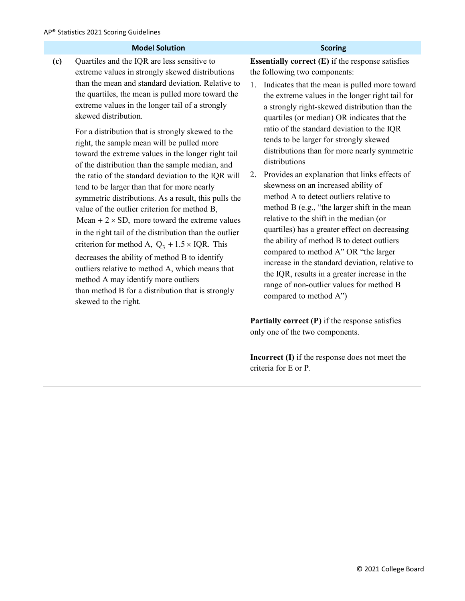| <b>Scoring</b>                                                                                                                                                                                                                                                                                                                                                                                                                                                                                                                                                                                                                                                                                                                                                                                                                                                                                                                                            |
|-----------------------------------------------------------------------------------------------------------------------------------------------------------------------------------------------------------------------------------------------------------------------------------------------------------------------------------------------------------------------------------------------------------------------------------------------------------------------------------------------------------------------------------------------------------------------------------------------------------------------------------------------------------------------------------------------------------------------------------------------------------------------------------------------------------------------------------------------------------------------------------------------------------------------------------------------------------|
| <b>Essentially correct <math>(E)</math> if the response satisfies</b><br>the following two components:<br>Indicates that the mean is pulled more toward<br>1.<br>the extreme values in the longer right tail for<br>a strongly right-skewed distribution than the<br>quartiles (or median) OR indicates that the<br>ratio of the standard deviation to the IQR<br>tends to be larger for strongly skewed<br>distributions than for more nearly symmetric<br>distributions<br>Provides an explanation that links effects of<br>2.<br>skewness on an increased ability of<br>method A to detect outliers relative to<br>method B (e.g., "the larger shift in the mean<br>relative to the shift in the median (or<br>quartiles) has a greater effect on decreasing<br>the ability of method B to detect outliers<br>compared to method A" OR "the larger<br>increase in the standard deviation, relative to<br>the IQR, results in a greater increase in the |
|                                                                                                                                                                                                                                                                                                                                                                                                                                                                                                                                                                                                                                                                                                                                                                                                                                                                                                                                                           |

**Partially correct (P)** if the response satisfies only one of the two components.

**Incorrect (I)** if the response does not meet the criteria for E or P.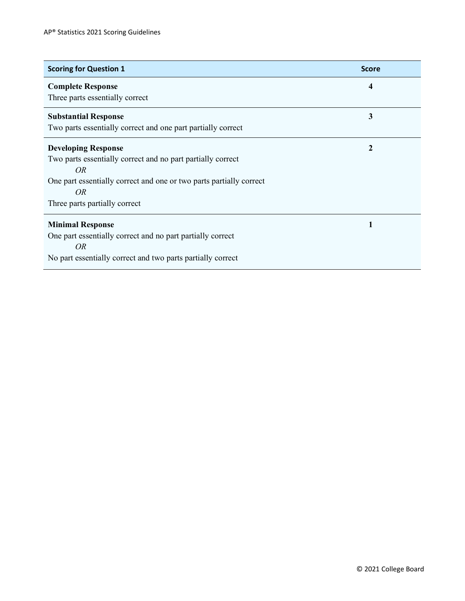| <b>Scoring for Question 1</b>                                                                                                                                                                                             | <b>Score</b> |
|---------------------------------------------------------------------------------------------------------------------------------------------------------------------------------------------------------------------------|--------------|
| <b>Complete Response</b><br>Three parts essentially correct                                                                                                                                                               | 4            |
| <b>Substantial Response</b><br>Two parts essentially correct and one part partially correct                                                                                                                               | 3            |
| <b>Developing Response</b><br>Two parts essentially correct and no part partially correct<br>OR <sub></sub><br>One part essentially correct and one or two parts partially correct<br>OR<br>Three parts partially correct | $\mathbf 2$  |
| <b>Minimal Response</b><br>One part essentially correct and no part partially correct<br><i>OR</i><br>No part essentially correct and two parts partially correct                                                         | 1            |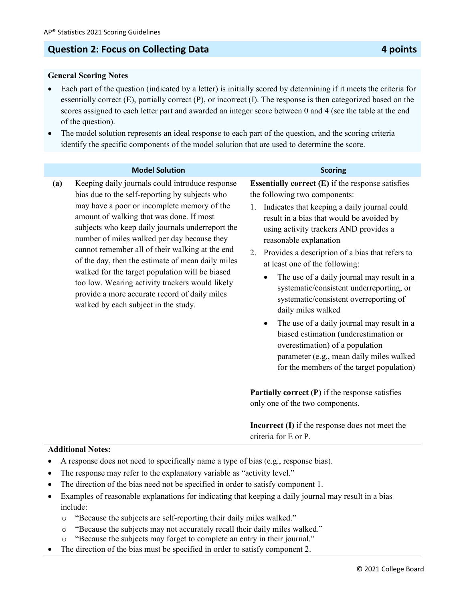### **Question 2: Focus on Collecting Data 4 points**

#### **General Scoring Notes**

- Each part of the question (indicated by a letter) is initially scored by determining if it meets the criteria for essentially correct (E), partially correct (P), or incorrect (I). The response is then categorized based on the scores assigned to each letter part and awarded an integer score between 0 and 4 (see the table at the end of the question).
- The model solution represents an ideal response to each part of the question, and the scoring criteria identify the specific components of the model solution that are used to determine the score.

#### **Model Solution Scoring**

**(a)** Keeping daily journals could introduce response bias due to the self-reporting by subjects who may have a poor or incomplete memory of the amount of walking that was done. If most subjects who keep daily journals underreport the number of miles walked per day because they cannot remember all of their walking at the end of the day, then the estimate of mean daily miles walked for the target population will be biased too low. Wearing activity trackers would likely provide a more accurate record of daily miles walked by each subject in the study.

**Essentially correct (E)** if the response satisfies the following two components:

- 1. Indicates that keeping a daily journal could result in a bias that would be avoided by using activity trackers AND provides a reasonable explanation
- 2. Provides a description of a bias that refers to at least one of the following:
	- The use of a daily journal may result in a systematic/consistent underreporting, or systematic/consistent overreporting of daily miles walked
	- The use of a daily journal may result in a biased estimation (underestimation or overestimation) of a population parameter (e.g., mean daily miles walked for the members of the target population)

**Partially correct (P)** if the response satisfies only one of the two components.

**Incorrect (I)** if the response does not meet the criteria for E or P.

- A response does not need to specifically name a type of bias (e.g., response bias).
- The response may refer to the explanatory variable as "activity level."
- The direction of the bias need not be specified in order to satisfy component 1.
- Examples of reasonable explanations for indicating that keeping a daily journal may result in a bias include:
	- o "Because the subjects are self-reporting their daily miles walked."
	- o "Because the subjects may not accurately recall their daily miles walked."
	- "Because the subjects may forget to complete an entry in their journal."
- The direction of the bias must be specified in order to satisfy component 2.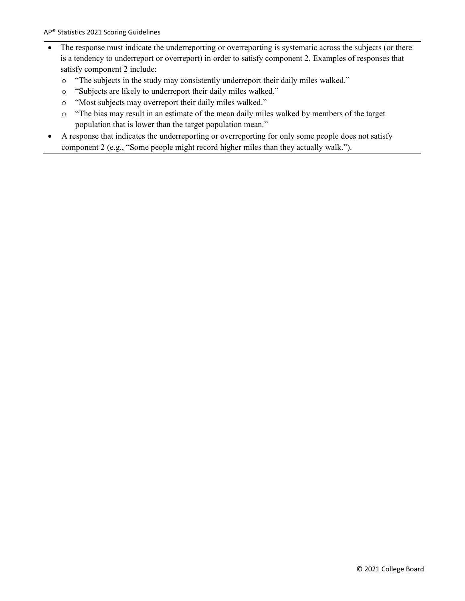- The response must indicate the underreporting or overreporting is systematic across the subjects (or there is a tendency to underreport or overreport) in order to satisfy component 2. Examples of responses that satisfy component 2 include:
	- o "The subjects in the study may consistently underreport their daily miles walked."
	- o "Subjects are likely to underreport their daily miles walked."
	- o "Most subjects may overreport their daily miles walked."
	- o "The bias may result in an estimate of the mean daily miles walked by members of the target population that is lower than the target population mean."
- A response that indicates the underreporting or overreporting for only some people does not satisfy component 2 (e.g., "Some people might record higher miles than they actually walk.").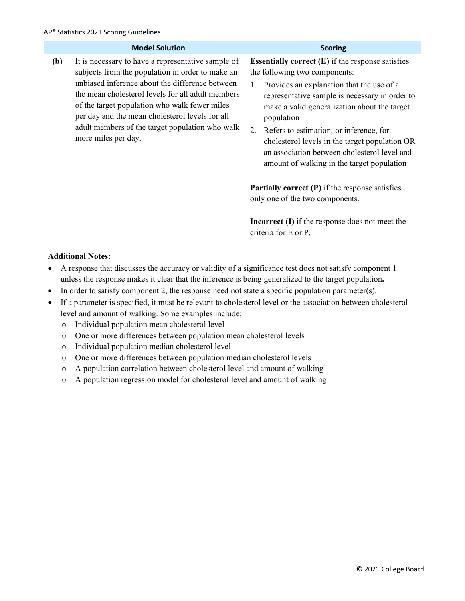|     | <b>Model Solution</b>                                                                                                                                                                                                                                                                                                                                                                        | <b>Scoring</b>                                                                                                                                                                                                                                                                                                                                                                                                                                                    |
|-----|----------------------------------------------------------------------------------------------------------------------------------------------------------------------------------------------------------------------------------------------------------------------------------------------------------------------------------------------------------------------------------------------|-------------------------------------------------------------------------------------------------------------------------------------------------------------------------------------------------------------------------------------------------------------------------------------------------------------------------------------------------------------------------------------------------------------------------------------------------------------------|
| (b) | It is necessary to have a representative sample of<br>subjects from the population in order to make an<br>unbiased inference about the difference between<br>the mean cholesterol levels for all adult members<br>of the target population who walk fewer miles<br>per day and the mean cholesterol levels for all<br>adult members of the target population who walk<br>more miles per day. | <b>Essentially correct <math>(E)</math> if the response satisfies</b><br>the following two components:<br>Provides an explanation that the use of a<br>representative sample is necessary in order to<br>make a valid generalization about the target<br>population<br>2. Refers to estimation, or inference, for<br>cholesterol levels in the target population OR<br>an association between cholesterol level and<br>amount of walking in the target population |
|     |                                                                                                                                                                                                                                                                                                                                                                                              | <b>Partially correct (P)</b> if the response satisfies<br>only one of the two components.                                                                                                                                                                                                                                                                                                                                                                         |
|     |                                                                                                                                                                                                                                                                                                                                                                                              | <b>Incorrect (I)</b> if the response does not meet the<br>criteria for E or P.                                                                                                                                                                                                                                                                                                                                                                                    |
|     | <b>Additional Notes:</b><br>A response that discusses the accuracy or validity of a significance test does not satisfy component 1<br>unless the response makes it clear that the inference is being generalized to the target population.                                                                                                                                                   |                                                                                                                                                                                                                                                                                                                                                                                                                                                                   |

- In order to satisfy component 2, the response need not state a specific population parameter(s).
- If a parameter is specified, it must be relevant to cholesterol level or the association between cholesterol level and amount of walking. Some examples include:
	- o Individual population mean cholesterol level
	- o One or more differences between population mean cholesterol levels
	- o Individual population median cholesterol level
	- o One or more differences between population median cholesterol levels
	- o A population correlation between cholesterol level and amount of walking
	- o A population regression model for cholesterol level and amount of walking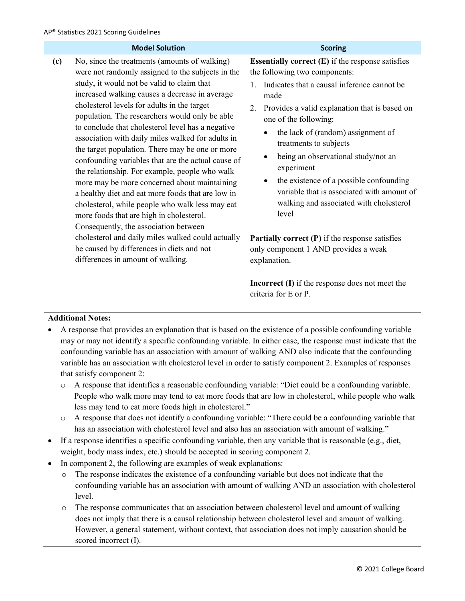|     | <b>Model Solution</b>                                                                                                                                                                                                                                                                                                                                                                                                                                                                                                                                                                                                                                                                                                                                                                                                 | <b>Scoring</b>                                                                                                                                                                                                                                                                                                                                                                                                                                                                                                                            |
|-----|-----------------------------------------------------------------------------------------------------------------------------------------------------------------------------------------------------------------------------------------------------------------------------------------------------------------------------------------------------------------------------------------------------------------------------------------------------------------------------------------------------------------------------------------------------------------------------------------------------------------------------------------------------------------------------------------------------------------------------------------------------------------------------------------------------------------------|-------------------------------------------------------------------------------------------------------------------------------------------------------------------------------------------------------------------------------------------------------------------------------------------------------------------------------------------------------------------------------------------------------------------------------------------------------------------------------------------------------------------------------------------|
| (c) | No, since the treatments (amounts of walking)<br>were not randomly assigned to the subjects in the<br>study, it would not be valid to claim that<br>increased walking causes a decrease in average<br>cholesterol levels for adults in the target<br>population. The researchers would only be able<br>to conclude that cholesterol level has a negative<br>association with daily miles walked for adults in<br>the target population. There may be one or more<br>confounding variables that are the actual cause of<br>the relationship. For example, people who walk<br>more may be more concerned about maintaining<br>a healthy diet and eat more foods that are low in<br>cholesterol, while people who walk less may eat<br>more foods that are high in cholesterol.<br>Consequently, the association between | <b>Essentially correct <math>(E)</math></b> if the response satisfies<br>the following two components:<br>Indicates that a causal inference cannot be<br>made<br>Provides a valid explanation that is based on<br>2.<br>one of the following:<br>the lack of (random) assignment of<br>$\bullet$<br>treatments to subjects<br>being an observational study/not an<br>experiment<br>the existence of a possible confounding<br>$\bullet$<br>variable that is associated with amount of<br>walking and associated with cholesterol<br>level |
|     | cholesterol and daily miles walked could actually<br>be caused by differences in diets and not<br>differences in amount of walking.                                                                                                                                                                                                                                                                                                                                                                                                                                                                                                                                                                                                                                                                                   | <b>Partially correct (P)</b> if the response satisfies<br>only component 1 AND provides a weak<br>explanation.                                                                                                                                                                                                                                                                                                                                                                                                                            |
|     |                                                                                                                                                                                                                                                                                                                                                                                                                                                                                                                                                                                                                                                                                                                                                                                                                       | <b>Incorrect (I)</b> if the response does not meet the                                                                                                                                                                                                                                                                                                                                                                                                                                                                                    |

• A response that provides an explanation that is based on the existence of a possible confounding variable may or may not identify a specific confounding variable. In either case, the response must indicate that the confounding variable has an association with amount of walking AND also indicate that the confounding variable has an association with cholesterol level in order to satisfy component 2. Examples of responses that satisfy component 2:

criteria for E or P.

- o A response that identifies a reasonable confounding variable: "Diet could be a confounding variable. People who walk more may tend to eat more foods that are low in cholesterol, while people who walk less may tend to eat more foods high in cholesterol."
- o A response that does not identify a confounding variable: "There could be a confounding variable that has an association with cholesterol level and also has an association with amount of walking."
- $\bullet$  If a response identifies a specific confounding variable, then any variable that is reasonable (e.g., diet, weight, body mass index, etc.) should be accepted in scoring component 2.
- In component 2, the following are examples of weak explanations:
	- $\circ$  The response indicates the existence of a confounding variable but does not indicate that the confounding variable has an association with amount of walking AND an association with cholesterol level.
	- o The response communicates that an association between cholesterol level and amount of walking does not imply that there is a causal relationship between cholesterol level and amount of walking. However, a general statement, without context, that association does not imply causation should be scored incorrect (I).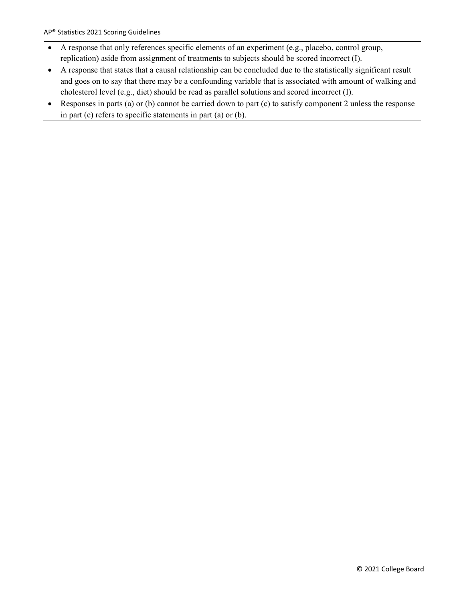- A response that only references specific elements of an experiment (e.g., placebo, control group, replication) aside from assignment of treatments to subjects should be scored incorrect (I).
- A response that states that a causal relationship can be concluded due to the statistically significant result and goes on to say that there may be a confounding variable that is associated with amount of walking and cholesterol level (e.g., diet) should be read as parallel solutions and scored incorrect (I).
- Responses in parts (a) or (b) cannot be carried down to part (c) to satisfy component 2 unless the response in part (c) refers to specific statements in part (a) or (b).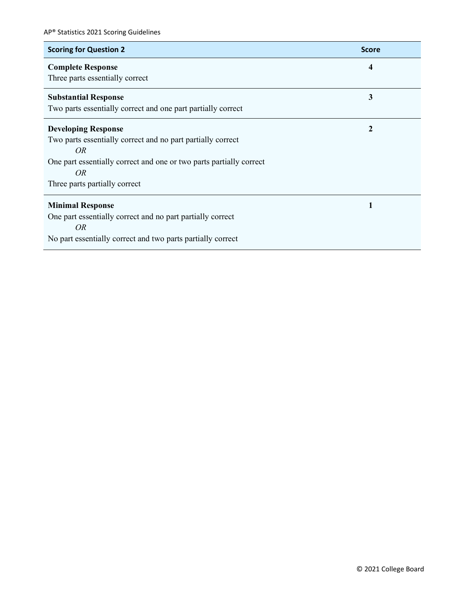| <b>Scoring for Question 2</b>                                       | <b>Score</b> |
|---------------------------------------------------------------------|--------------|
| <b>Complete Response</b>                                            | 4            |
| Three parts essentially correct                                     |              |
| <b>Substantial Response</b>                                         | 3            |
| Two parts essentially correct and one part partially correct        |              |
| <b>Developing Response</b>                                          | $\mathbf{2}$ |
| Two parts essentially correct and no part partially correct         |              |
| <i>OR</i>                                                           |              |
| One part essentially correct and one or two parts partially correct |              |
| OR                                                                  |              |
| Three parts partially correct                                       |              |
| <b>Minimal Response</b>                                             | 1            |
| One part essentially correct and no part partially correct          |              |
| OR <sub></sub>                                                      |              |
| No part essentially correct and two parts partially correct         |              |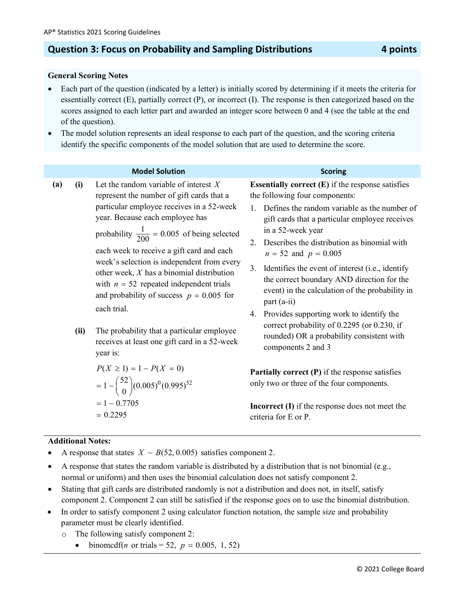### **Question 3: Focus on Probability and Sampling Distributions 4 points**

#### **General Scoring Notes**

- Each part of the question (indicated by a letter) is initially scored by determining if it meets the criteria for essentially correct (E), partially correct (P), or incorrect (I). The response is then categorized based on the scores assigned to each letter part and awarded an integer score between 0 and 4 (see the table at the end of the question).
- The model solution represents an ideal response to each part of the question, and the scoring criteria identify the specific components of the model solution that are used to determine the score.

#### **Model Solution Scoring**

- **(a) (i)** Let the random variable of interest *X* represent the number of gift cards that a particular employee receives in a 52-week year. Because each employee has probability  $\frac{1}{200} = 0.005$  of being selected each week to receive a gift card and each week's selection is independent from every other week, *X* has a binomial distribution with  $n = 52$  repeated independent trials and probability of success  $p = 0.005$  for each trial.
	- **(ii)** The probability that a particular employee receives at least one gift card in a 52-week year is:

$$
P(X \ge 1) = 1 - P(X = 0)
$$
  
= 1 - {52 \choose 0} (0.005)^0 (0.995)^{52}  
= 1 - 0.7705  
= 0.2295

**Essentially correct (E)** if the response satisfies the following four components:

- 1. Defines the random variable as the number of gift cards that a particular employee receives in a 52-week year
- 2. Describes the distribution as binomial with  $n = 52$  and  $p = 0.005$
- 3. Identifies the event of interest (i.e., identify the correct boundary AND direction for the event) in the calculation of the probability in part (a-ii)
- 4. Provides supporting work to identify the correct probability of 0.2295 (or 0.230, if rounded) OR a probability consistent with components 2 and 3

**Partially correct (P)** if the response satisfies only two or three of the four components.

**Incorrect (I)** if the response does not meet the criteria for E or P.

- A response that states  $X \sim B(52, 0.005)$  satisfies component 2.
- A response that states the random variable is distributed by a distribution that is not binomial (e.g., normal or uniform) and then uses the binomial calculation does not satisfy component 2.
- Stating that gift cards are distributed randomly is not a distribution and does not, in itself, satisfy component 2. Component 2 can still be satisfied if the response goes on to use the binomial distribution.
- In order to satisfy component 2 using calculator function notation, the sample size and probability parameter must be clearly identified.
	- o The following satisfy component 2:
		- $binom{off(n \text{ or trials} = 52, p = 0.005, 1, 52)}$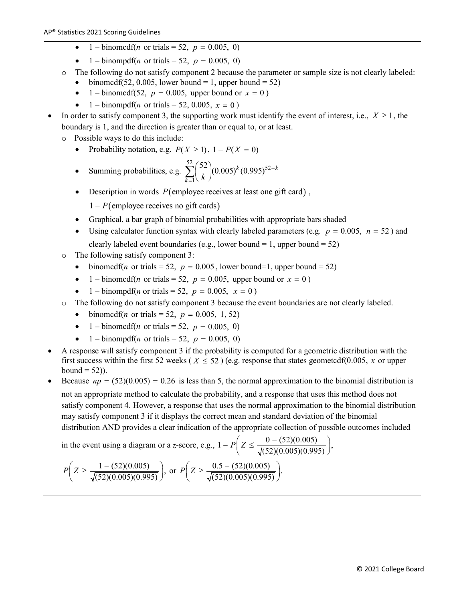- 1 binomedf(*n* or trials = 52,  $p = 0.005, 0$ )
- 1 binompdf(*n* or trials = 52,  $p = 0.005, 0$ )
- o The following do not satisfy component 2 because the parameter or sample size is not clearly labeled:
	- binomedf(52, 0.005, lower bound = 1, upper bound = 52)
	- 1 binomedf(52,  $p = 0.005$ , upper bound or  $x = 0$ )
	- 1 binompdf(*n* or trials = 52, 0.005,  $x = 0$ )
- In order to satisfy component 3, the supporting work must identify the event of interest, i.e.,  $X \ge 1$ , the boundary is 1, and the direction is greater than or equal to, or at least.
	- o Possible ways to do this include:
		- Probability notation, e.g.  $P(X \ge 1)$ ,  $1 P(X = 0)$

• Summing probabilities, e.g. 
$$
\sum_{k=1}^{52} {52 \choose k} (0.005)^k (0.995)^{52-k}
$$

- Description in words  $P$ (employee receives at least one gift card),
	- 1 *P*(employee receives no gift cards)
- Graphical, a bar graph of binomial probabilities with appropriate bars shaded
- Using calculator function syntax with clearly labeled parameters (e.g.  $p = 0.005$ ,  $n = 52$ ) and clearly labeled event boundaries (e.g., lower bound  $= 1$ , upper bound  $= 52$ )
- o The following satisfy component 3:
	- binomcdf(*n* or trials = 52,  $p = 0.005$ , lower bound=1, upper bound = 52)
	- 1 binomedf(*n* or trials = 52,  $p = 0.005$ , upper bound or  $x = 0$ )
	- 1 binompdf(*n* or trials = 52,  $p = 0.005$ ,  $x = 0$ )
- o The following do not satisfy component 3 because the event boundaries are not clearly labeled.
	- binomedf(*n* or trials = 52,  $p = 0.005, 1, 52$ )
	- 1 binomedf(*n* or trials = 52,  $p = 0.005, 0$ )
	- 1 binompdf(*n* or trials = 52,  $p = 0.005, 0$ )
- A response will satisfy component 3 if the probability is computed for a geometric distribution with the first success within the first 52 weeks ( $X \le 52$ ) (e.g. response that states geometcdf(0.005, *x* or upper bound  $= 52$ ).
- Because  $np = (52)(0.005) = 0.26$  is less than 5, the normal approximation to the binomial distribution is not an appropriate method to calculate the probability, and a response that uses this method does not satisfy component 4. However, a response that uses the normal approximation to the binomial distribution may satisfy component 3 if it displays the correct mean and standard deviation of the binomial distribution AND provides a clear indication of the appropriate collection of possible outcomes included

in the event using a diagram or a *z*-score, e.g.,  $1 - P\left(Z \le \frac{0 - (52)(0.005)}{\sqrt{(52)(0.005)(0.995)}}\right)$ ,

$$
P\left(Z \ge \frac{1 - (52)(0.005)}{\sqrt{(52)(0.005)(0.995)}}\right), \text{ or } P\left(Z \ge \frac{0.5 - (52)(0.005)}{\sqrt{(52)(0.005)(0.995)}}\right).
$$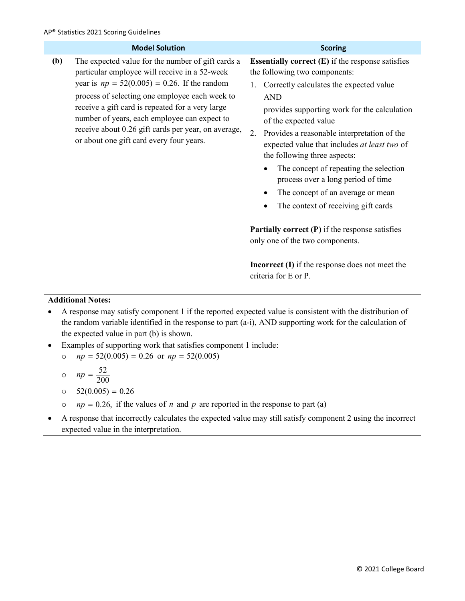|     | <b>Model Solution</b>                                                                                                                                                                                                                                                                                                                                                                                          | <b>Scoring</b>                                                                                                                                                                                                                                                                                                                                                                                                                                                                                                                                  |
|-----|----------------------------------------------------------------------------------------------------------------------------------------------------------------------------------------------------------------------------------------------------------------------------------------------------------------------------------------------------------------------------------------------------------------|-------------------------------------------------------------------------------------------------------------------------------------------------------------------------------------------------------------------------------------------------------------------------------------------------------------------------------------------------------------------------------------------------------------------------------------------------------------------------------------------------------------------------------------------------|
| (b) | The expected value for the number of gift cards a<br>particular employee will receive in a 52-week<br>year is $np = 52(0.005) = 0.26$ . If the random<br>process of selecting one employee each week to<br>receive a gift card is repeated for a very large<br>number of years, each employee can expect to<br>receive about 0.26 gift cards per year, on average,<br>or about one gift card every four years. | <b>Essentially correct <math>(E)</math> if the response satisfies</b><br>the following two components:<br>Correctly calculates the expected value<br>1.<br><b>AND</b><br>provides supporting work for the calculation<br>of the expected value<br>2.<br>Provides a reasonable interpretation of the<br>expected value that includes at least two of<br>the following three aspects:<br>The concept of repeating the selection<br>process over a long period of time<br>The concept of an average or mean<br>The context of receiving gift cards |
|     |                                                                                                                                                                                                                                                                                                                                                                                                                | <b>Partially correct <math>(P)</math></b> if the response satisfies<br>only one of the two components.                                                                                                                                                                                                                                                                                                                                                                                                                                          |
|     |                                                                                                                                                                                                                                                                                                                                                                                                                | <b>Incorrect (I)</b> if the response does not meet the<br>criteria for E or P.                                                                                                                                                                                                                                                                                                                                                                                                                                                                  |

- A response may satisfy component 1 if the reported expected value is consistent with the distribution of the random variable identified in the response to part (a-i), AND supporting work for the calculation of the expected value in part (b) is shown.
- Examples of supporting work that satisfies component 1 include:
	- o  $np = 52(0.005) = 0.26$  or  $np = 52(0.005)$

$$
\circ \quad np = \frac{52}{200}
$$

- o  $52(0.005) = 0.26$
- $op$  *np* = 0.26, if the values of *n* and *p* are reported in the response to part (a)
- A response that incorrectly calculates the expected value may still satisfy component 2 using the incorrect expected value in the interpretation.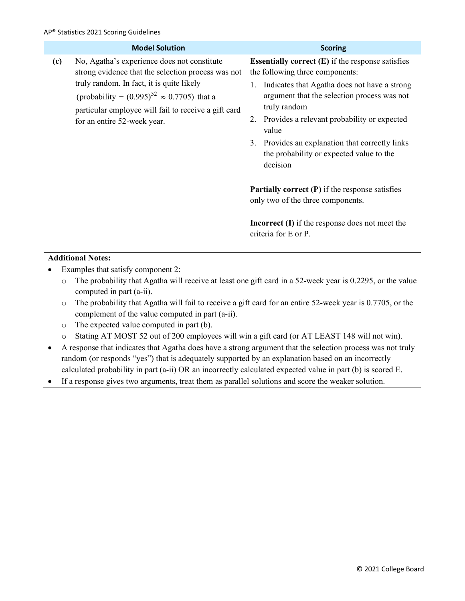|                                    | <b>Model Solution</b>                                                                                                                                                                                                                                           |    | <b>Scoring</b>                                                                                                                                                                                                                                                                                                                                                                                                                                                                                                                                                                |
|------------------------------------|-----------------------------------------------------------------------------------------------------------------------------------------------------------------------------------------------------------------------------------------------------------------|----|-------------------------------------------------------------------------------------------------------------------------------------------------------------------------------------------------------------------------------------------------------------------------------------------------------------------------------------------------------------------------------------------------------------------------------------------------------------------------------------------------------------------------------------------------------------------------------|
| (c)<br>for an entire 52-week year. | No, Agatha's experience does not constitute<br>strong evidence that the selection process was not<br>truly random. In fact, it is quite likely<br>(probability = $(0.995)^{52} \approx 0.7705$ ) that a<br>particular employee will fail to receive a gift card | 2. | <b>Essentially correct <math>(E)</math></b> if the response satisfies<br>the following three components:<br>Indicates that Agatha does not have a strong<br>argument that the selection process was not<br>truly random<br>Provides a relevant probability or expected<br>value<br>3. Provides an explanation that correctly links<br>the probability or expected value to the<br>decision<br><b>Partially correct (P)</b> if the response satisfies<br>only two of the three components.<br><b>Incorrect</b> $(I)$ if the response does not meet the<br>criteria for E or P. |

- Examples that satisfy component 2:
	- o The probability that Agatha will receive at least one gift card in a 52-week year is 0.2295, or the value computed in part (a-ii).
	- o The probability that Agatha will fail to receive a gift card for an entire 52-week year is 0.7705, or the complement of the value computed in part (a-ii).
	- o The expected value computed in part (b).
	- o Stating AT MOST 52 out of 200 employees will win a gift card (or AT LEAST 148 will not win).
- A response that indicates that Agatha does have a strong argument that the selection process was not truly random (or responds "yes") that is adequately supported by an explanation based on an incorrectly calculated probability in part (a-ii) OR an incorrectly calculated expected value in part (b) is scored E.
- If a response gives two arguments, treat them as parallel solutions and score the weaker solution.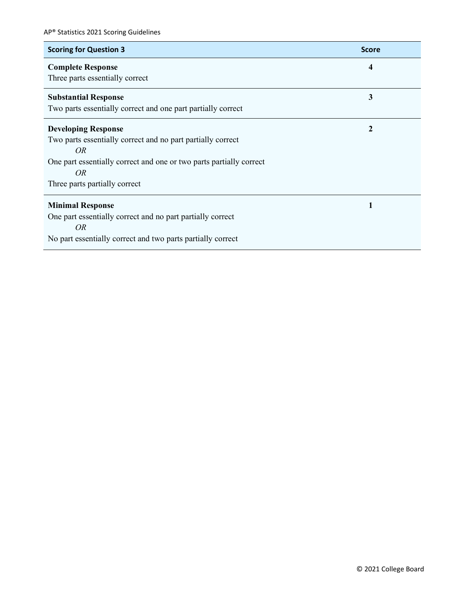| <b>Scoring for Question 3</b>                                       | <b>Score</b> |
|---------------------------------------------------------------------|--------------|
| <b>Complete Response</b>                                            | 4            |
| Three parts essentially correct                                     |              |
| <b>Substantial Response</b>                                         | 3            |
| Two parts essentially correct and one part partially correct        |              |
| <b>Developing Response</b>                                          | $\mathbf{2}$ |
| Two parts essentially correct and no part partially correct         |              |
| <i>OR</i>                                                           |              |
| One part essentially correct and one or two parts partially correct |              |
| <i>OR</i>                                                           |              |
| Three parts partially correct                                       |              |
| <b>Minimal Response</b>                                             | 1            |
| One part essentially correct and no part partially correct          |              |
| <i>OR</i>                                                           |              |
| No part essentially correct and two parts partially correct         |              |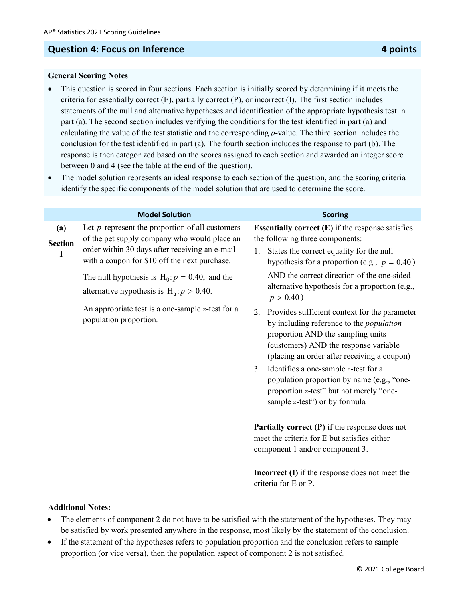### **Question 4: Focus on Inference 4 points 4 points**

#### **General Scoring Notes**

- This question is scored in four sections. Each section is initially scored by determining if it meets the criteria for essentially correct (E), partially correct (P), or incorrect (I). The first section includes statements of the null and alternative hypotheses and identification of the appropriate hypothesis test in part (a). The second section includes verifying the conditions for the test identified in part (a) and calculating the value of the test statistic and the corresponding *p*-value. The third section includes the conclusion for the test identified in part (a). The fourth section includes the response to part (b). The response is then categorized based on the scores assigned to each section and awarded an integer score between 0 and 4 (see the table at the end of the question).
- The model solution represents an ideal response to each section of the question, and the scoring criteria identify the specific components of the model solution that are used to determine the score.

|                            | <b>Model Solution</b>                                                                                                                                                                                | <b>Scoring</b>                                                                                                                                                                                                                      |
|----------------------------|------------------------------------------------------------------------------------------------------------------------------------------------------------------------------------------------------|-------------------------------------------------------------------------------------------------------------------------------------------------------------------------------------------------------------------------------------|
| (a)<br><b>Section</b><br>1 | Let $p$ represent the proportion of all customers<br>of the pet supply company who would place an<br>order within 30 days after receiving an e-mail<br>with a coupon for \$10 off the next purchase. | <b>Essentially correct <math>(E)</math></b> if the response satisfies<br>the following three components:<br>States the correct equality for the null<br>1.<br>hypothesis for a proportion (e.g., $p = 0.40$ )                       |
|                            | The null hypothesis is $H_0: p = 0.40$ , and the<br>alternative hypothesis is $H_a$ : $p > 0.40$ .                                                                                                   | AND the correct direction of the one-sided<br>alternative hypothesis for a proportion (e.g.,<br>$p > 0.40$ )                                                                                                                        |
|                            | An appropriate test is a one-sample z-test for a<br>population proportion.                                                                                                                           | Provides sufficient context for the parameter<br>2.<br>by including reference to the <i>population</i><br>proportion AND the sampling units<br>(customers) AND the response variable<br>(placing an order after receiving a coupon) |
|                            |                                                                                                                                                                                                      | 3. Identifies a one-sample z-test for a<br>population proportion by name (e.g., "one-<br>proportion z-test" but not merely "one-<br>sample z-test") or by formula                                                                   |
|                            |                                                                                                                                                                                                      | <b>Partially correct (P)</b> if the response does not<br>meet the criteria for E but satisfies either<br>component 1 and/or component 3.                                                                                            |
|                            |                                                                                                                                                                                                      | <b>Incorrect (I)</b> if the response does not meet the<br>criteria for E or P.                                                                                                                                                      |

- The elements of component 2 do not have to be satisfied with the statement of the hypotheses. They may be satisfied by work presented anywhere in the response, most likely by the statement of the conclusion.
- If the statement of the hypotheses refers to population proportion and the conclusion refers to sample proportion (or vice versa), then the population aspect of component 2 is not satisfied.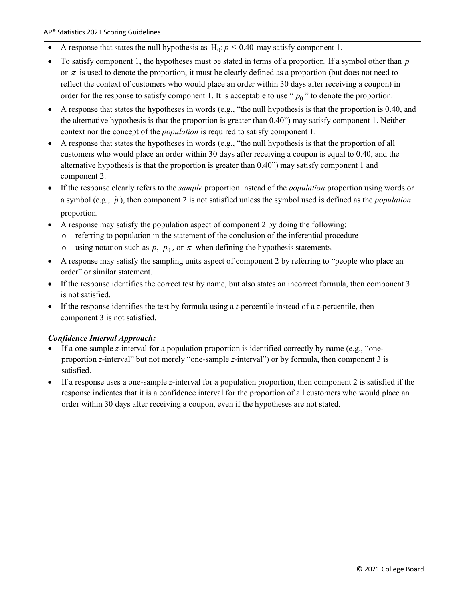- A response that states the null hypothesis as  $H_0$ :  $p \le 0.40$  may satisfy component 1.
- To satisfy component 1, the hypotheses must be stated in terms of a proportion. If a symbol other than *p* or  $\pi$  is used to denote the proportion, it must be clearly defined as a proportion (but does not need to reflect the context of customers who would place an order within 30 days after receiving a coupon) in order for the response to satisfy component 1. It is acceptable to use " $p_0$ " to denote the proportion.
- A response that states the hypotheses in words (e.g., "the null hypothesis is that the proportion is  $0.40$ , and the alternative hypothesis is that the proportion is greater than 0.40") may satisfy component 1. Neither context nor the concept of the *population* is required to satisfy component 1.
- A response that states the hypotheses in words (e.g., "the null hypothesis is that the proportion of all customers who would place an order within 30 days after receiving a coupon is equal to 0.40, and the alternative hypothesis is that the proportion is greater than 0.40") may satisfy component 1 and component 2.
- If the response clearly refers to the *sample* proportion instead of the *population* proportion using words or a symbol (e.g.,  $\hat{p}$ ), then component 2 is not satisfied unless the symbol used is defined as the *population* proportion.
- A response may satisfy the population aspect of component 2 by doing the following:
	- o referring to population in the statement of the conclusion of the inferential procedure
	- o using notation such as  $p$ ,  $p_0$ , or  $\pi$  when defining the hypothesis statements.
- A response may satisfy the sampling units aspect of component 2 by referring to "people who place an order" or similar statement.
- If the response identifies the correct test by name, but also states an incorrect formula, then component 3 is not satisfied.
- If the response identifies the test by formula using a *t*-percentile instead of a *z*-percentile, then component 3 is not satisfied.

#### *Confidence Interval Approach:*

- If a one-sample *z*-interval for a population proportion is identified correctly by name (e.g., "oneproportion *z*-interval" but not merely "one-sample *z*-interval") or by formula, then component 3 is satisfied.
- If a response uses a one-sample *z*-interval for a population proportion, then component 2 is satisfied if the response indicates that it is a confidence interval for the proportion of all customers who would place an order within 30 days after receiving a coupon, even if the hypotheses are not stated.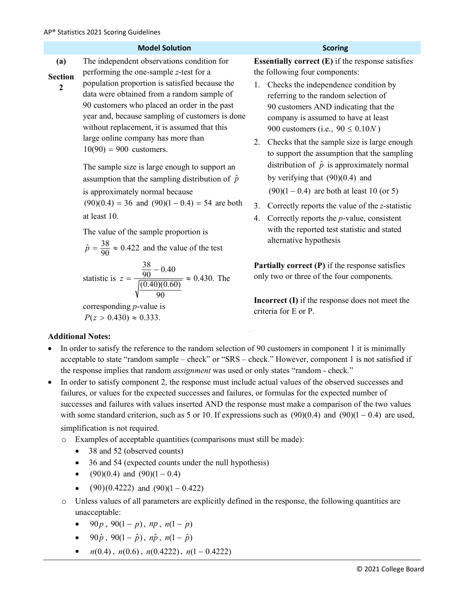|                                           | <b>Model Solution</b>                                                                                                                                                                                                                                                                                                                                                                                                                                                                                                                                                                                                                                                                                                                        | <b>Scoring</b>                                                                                                                                                                                                                                                                                                                                                                                                                                                                                                                                                                                                                                                                                                                                            |
|-------------------------------------------|----------------------------------------------------------------------------------------------------------------------------------------------------------------------------------------------------------------------------------------------------------------------------------------------------------------------------------------------------------------------------------------------------------------------------------------------------------------------------------------------------------------------------------------------------------------------------------------------------------------------------------------------------------------------------------------------------------------------------------------------|-----------------------------------------------------------------------------------------------------------------------------------------------------------------------------------------------------------------------------------------------------------------------------------------------------------------------------------------------------------------------------------------------------------------------------------------------------------------------------------------------------------------------------------------------------------------------------------------------------------------------------------------------------------------------------------------------------------------------------------------------------------|
| (a)<br><b>Section</b><br>$\boldsymbol{2}$ | The independent observations condition for<br>performing the one-sample z-test for a<br>population proportion is satisfied because the<br>data were obtained from a random sample of<br>90 customers who placed an order in the past<br>year and, because sampling of customers is done<br>without replacement, it is assumed that this<br>large online company has more than<br>$10(90) = 900$ customers.<br>The sample size is large enough to support an<br>assumption that the sampling distribution of $\hat{p}$<br>is approximately normal because<br>$(90)(0.4) = 36$ and $(90)(1 - 0.4) = 54$ are both<br>at least 10.<br>The value of the sample proportion is<br>$\hat{p} = \frac{38}{90} \approx 0.422$ and the value of the test | <b>Essentially correct <math>(E)</math> if the response satisfies</b><br>the following four components:<br>Checks the independence condition by<br>1.<br>referring to the random selection of<br>90 customers AND indicating that the<br>company is assumed to have at least<br>900 customers (i.e., $90 \le 0.10N$ )<br>Checks that the sample size is large enough<br>2.<br>to support the assumption that the sampling<br>distribution of $\hat{p}$ is approximately normal<br>by verifying that $(90)(0.4)$ and<br>$(90)(1 - 0.4)$ are both at least 10 (or 5)<br>3.<br>Correctly reports the value of the z-statistic<br>Correctly reports the $p$ -value, consistent<br>4.<br>with the reported test statistic and stated<br>alternative hypothesis |
|                                           | statistic is $z = \frac{\frac{38}{90} - 0.40}{\sqrt{(0.40)(0.60)}} \approx 0.430$ . The<br>corresponding $p$ -value is<br>$P(z > 0.430) \approx 0.333$ .<br><b>Additional Notes:</b>                                                                                                                                                                                                                                                                                                                                                                                                                                                                                                                                                         | <b>Partially correct <math>(P)</math></b> if the response satisfies<br>only two or three of the four components.<br><b>Incorrect (I)</b> if the response does not meet the<br>criteria for E or P.                                                                                                                                                                                                                                                                                                                                                                                                                                                                                                                                                        |
|                                           | In order to satisfy the reference to the random selection of 90 customers in component 1 it is minimally<br>acceptable to state "random sample - check" or "SRS - check." However, component 1 is not satisfied if<br>the response implies that random assignment was used or only states "random - check."<br>In order to satisfy component 2, the response must include actual values of the observed successes and                                                                                                                                                                                                                                                                                                                        |                                                                                                                                                                                                                                                                                                                                                                                                                                                                                                                                                                                                                                                                                                                                                           |

- failures, or values for the expected successes and failures, or formulas for the expected number of successes and failures with values inserted AND the response must make a comparison of the two values with some standard criterion, such as 5 or 10. If expressions such as  $(90)(0.4)$  and  $(90)(1 - 0.4)$  are used, simplification is not required.
	- o Examples of acceptable quantities (comparisons must still be made):
		- 38 and 52 (observed counts)
		- 36 and 54 (expected counts under the null hypothesis)
		- $(90)(0.4)$  and  $(90)(1 0.4)$
		- $(90)(0.4222)$  and  $(90)(1 0.422)$
	- o Unless values of all parameters are explicitly defined in the response, the following quantities are unacceptable:
		- 90  $p$ , 90(1  $p$ ),  $np$ ,  $n(1-p)$
		- $90\hat{p}$ ,  $90(1-\hat{p})$ ,  $n\hat{p}$ ,  $n(1-\hat{p})$
		- $n(0.4)$ ,  $n(0.6)$ ,  $n(0.4222)$ ,  $n(1 0.4222)$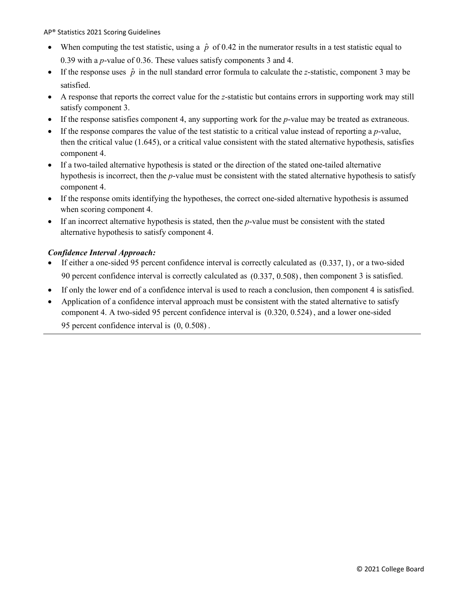AP® Statistics 2021 Scoring Guidelines

- When computing the test statistic, using a  $\hat{p}$  of 0.42 in the numerator results in a test statistic equal to 0.39 with a *p*-value of 0.36. These values satisfy components 3 and 4.
- If the response uses  $\hat{p}$  in the null standard error formula to calculate the *z*-statistic, component 3 may be satisfied.
- A response that reports the correct value for the *z*-statistic but contains errors in supporting work may still satisfy component 3.
- If the response satisfies component 4, any supporting work for the *p*-value may be treated as extraneous.
- If the response compares the value of the test statistic to a critical value instead of reporting a *p*-value, then the critical value (1.645), or a critical value consistent with the stated alternative hypothesis, satisfies component 4.
- If a two-tailed alternative hypothesis is stated or the direction of the stated one-tailed alternative hypothesis is incorrect, then the *p*-value must be consistent with the stated alternative hypothesis to satisfy component 4.
- If the response omits identifying the hypotheses, the correct one-sided alternative hypothesis is assumed when scoring component 4.
- If an incorrect alternative hypothesis is stated, then the *p*-value must be consistent with the stated alternative hypothesis to satisfy component 4.

#### *Confidence Interval Approach:*

- If either a one-sided 95 percent confidence interval is correctly calculated as (0.337, 1), or a two-sided 90 percent confidence interval is correctly calculated as (0.337, 0.508), then component 3 is satisfied.
- If only the lower end of a confidence interval is used to reach a conclusion, then component 4 is satisfied.
- Application of a confidence interval approach must be consistent with the stated alternative to satisfy component 4. A two-sided 95 percent confidence interval is (0.320, 0.524), and a lower one-sided 95 percent confidence interval is (0, 0.508) .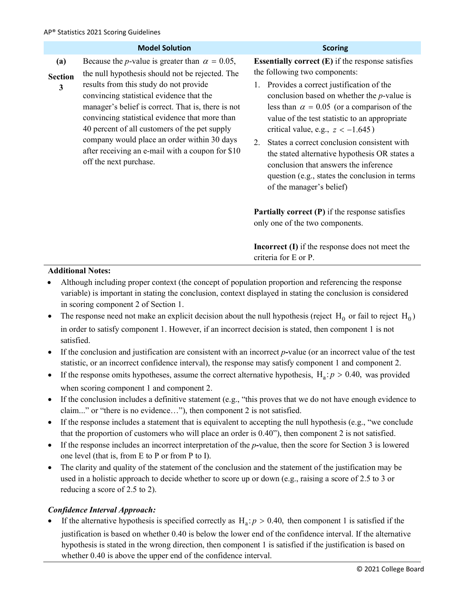|                            | <b>Model Solution</b>                                                                                                                                                                                                                                                                                                                                                                                                                                                                        | <b>Scoring</b>                                                                                                                                                                                                                                                                                                                                                                                                                                                                                                                                                                |  |
|----------------------------|----------------------------------------------------------------------------------------------------------------------------------------------------------------------------------------------------------------------------------------------------------------------------------------------------------------------------------------------------------------------------------------------------------------------------------------------------------------------------------------------|-------------------------------------------------------------------------------------------------------------------------------------------------------------------------------------------------------------------------------------------------------------------------------------------------------------------------------------------------------------------------------------------------------------------------------------------------------------------------------------------------------------------------------------------------------------------------------|--|
| (a)<br><b>Section</b><br>3 | Because the <i>p</i> -value is greater than $\alpha = 0.05$ ,<br>the null hypothesis should not be rejected. The<br>results from this study do not provide<br>convincing statistical evidence that the<br>manager's belief is correct. That is, there is not<br>convincing statistical evidence that more than<br>40 percent of all customers of the pet supply<br>company would place an order within 30 days<br>after receiving an e-mail with a coupon for \$10<br>off the next purchase. | <b>Essentially correct <math>(E)</math> if the response satisfies</b><br>the following two components:<br>Provides a correct justification of the<br>conclusion based on whether the $p$ -value is<br>less than $\alpha = 0.05$ (or a comparison of the<br>value of the test statistic to an appropriate<br>critical value, e.g., $z < -1.645$ )<br>States a correct conclusion consistent with<br>2.<br>the stated alternative hypothesis OR states a<br>conclusion that answers the inference<br>question (e.g., states the conclusion in terms<br>of the manager's belief) |  |
|                            |                                                                                                                                                                                                                                                                                                                                                                                                                                                                                              | <b>Partially correct <math>(P)</math></b> if the response satisfies<br>only one of the two components.<br><b>Incorrect (I)</b> if the response does not meet the<br>criteria for E or P.                                                                                                                                                                                                                                                                                                                                                                                      |  |
| <b>Additional Notes:</b>   |                                                                                                                                                                                                                                                                                                                                                                                                                                                                                              |                                                                                                                                                                                                                                                                                                                                                                                                                                                                                                                                                                               |  |

- Although including proper context (the concept of population proportion and referencing the response variable) is important in stating the conclusion, context displayed in stating the conclusion is considered in scoring component 2 of Section 1.
- The response need not make an explicit decision about the null hypothesis (reject  $H_0$  or fail to reject  $H_0$ ) in order to satisfy component 1. However, if an incorrect decision is stated, then component 1 is not satisfied.
- If the conclusion and justification are consistent with an incorrect *p***-**value (or an incorrect value of the test statistic, or an incorrect confidence interval), the response may satisfy component 1 and component 2.
- If the response omits hypotheses, assume the correct alternative hypothesis,  $H_a$ :  $p > 0.40$ , was provided when scoring component 1 and component 2.
- If the conclusion includes a definitive statement (e.g., "this proves that we do not have enough evidence to claim..." or "there is no evidence…"), then component 2 is not satisfied.
- If the response includes a statement that is equivalent to accepting the null hypothesis (e.g., "we conclude that the proportion of customers who will place an order is 0.40"), then component 2 is not satisfied.
- If the response includes an incorrect interpretation of the *p***-**value, then the score for Section 3 is lowered one level (that is, from E to P or from P to I).
- The clarity and quality of the statement of the conclusion and the statement of the justification may be used in a holistic approach to decide whether to score up or down (e.g., raising a score of 2.5 to 3 or reducing a score of 2.5 to 2).

#### *Confidence Interval Approach:*

If the alternative hypothesis is specified correctly as  $H_a$ :  $p > 0.40$ , then component 1 is satisfied if the justification is based on whether 0.40 is below the lower end of the confidence interval. If the alternative hypothesis is stated in the wrong direction, then component 1 is satisfied if the justification is based on whether  $0.40$  is above the upper end of the confidence interval.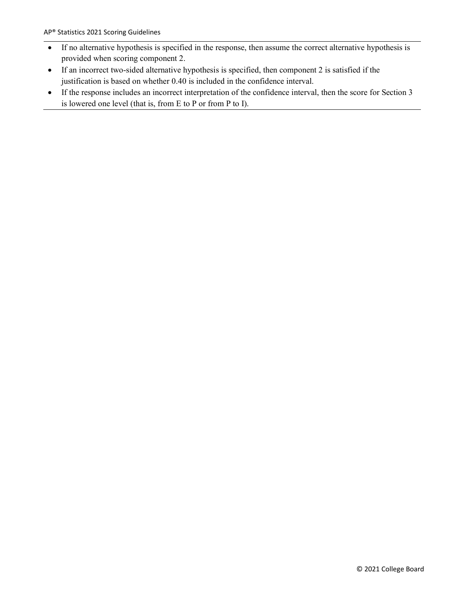- If no alternative hypothesis is specified in the response, then assume the correct alternative hypothesis is provided when scoring component 2.
- If an incorrect two-sided alternative hypothesis is specified, then component 2 is satisfied if the justification is based on whether 0.40 is included in the confidence interval.
- If the response includes an incorrect interpretation of the confidence interval, then the score for Section 3 is lowered one level (that is, from E to P or from P to I).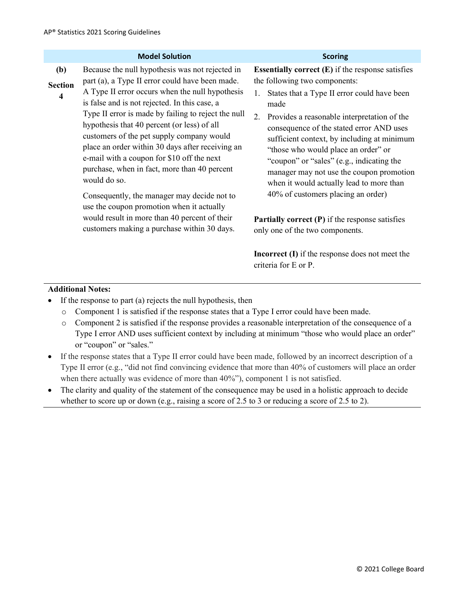|                                   | <b>Model Solution</b>                                                                                                                                                                                                                                                                                                                                                                                                                                                                                                                                                                                                                                                                                                   | <b>Scoring</b>                                                                                                                                                                                                                                                                                                                                                                                                                                                                                                                                                                                                                                                                                                       |
|-----------------------------------|-------------------------------------------------------------------------------------------------------------------------------------------------------------------------------------------------------------------------------------------------------------------------------------------------------------------------------------------------------------------------------------------------------------------------------------------------------------------------------------------------------------------------------------------------------------------------------------------------------------------------------------------------------------------------------------------------------------------------|----------------------------------------------------------------------------------------------------------------------------------------------------------------------------------------------------------------------------------------------------------------------------------------------------------------------------------------------------------------------------------------------------------------------------------------------------------------------------------------------------------------------------------------------------------------------------------------------------------------------------------------------------------------------------------------------------------------------|
| <b>(b)</b><br><b>Section</b><br>4 | Because the null hypothesis was not rejected in<br>part (a), a Type II error could have been made.<br>A Type II error occurs when the null hypothesis<br>is false and is not rejected. In this case, a<br>Type II error is made by failing to reject the null<br>hypothesis that 40 percent (or less) of all<br>customers of the pet supply company would<br>place an order within 30 days after receiving an<br>e-mail with a coupon for \$10 off the next<br>purchase, when in fact, more than 40 percent<br>would do so.<br>Consequently, the manager may decide not to<br>use the coupon promotion when it actually<br>would result in more than 40 percent of their<br>customers making a purchase within 30 days. | <b>Essentially correct <math>(E)</math></b> if the response satisfies<br>the following two components:<br>States that a Type II error could have been<br>1.<br>made<br>Provides a reasonable interpretation of the<br>2.<br>consequence of the stated error AND uses<br>sufficient context, by including at minimum<br>"those who would place an order" or<br>"coupon" or "sales" (e.g., indicating the<br>manager may not use the coupon promotion<br>when it would actually lead to more than<br>40% of customers placing an order)<br><b>Partially correct (P)</b> if the response satisfies<br>only one of the two components.<br><b>Incorrect (I)</b> if the response does not meet the<br>criteria for E or P. |

- If the response to part (a) rejects the null hypothesis, then
	- o Component 1 is satisfied if the response states that a Type I error could have been made.
	- o Component 2 is satisfied if the response provides a reasonable interpretation of the consequence of a Type I error AND uses sufficient context by including at minimum "those who would place an order" or "coupon" or "sales."
- If the response states that a Type II error could have been made, followed by an incorrect description of a Type II error (e.g., "did not find convincing evidence that more than 40% of customers will place an order when there actually was evidence of more than 40%"), component 1 is not satisfied.
- The clarity and quality of the statement of the consequence may be used in a holistic approach to decide whether to score up or down (e.g., raising a score of 2.5 to 3 or reducing a score of 2.5 to 2).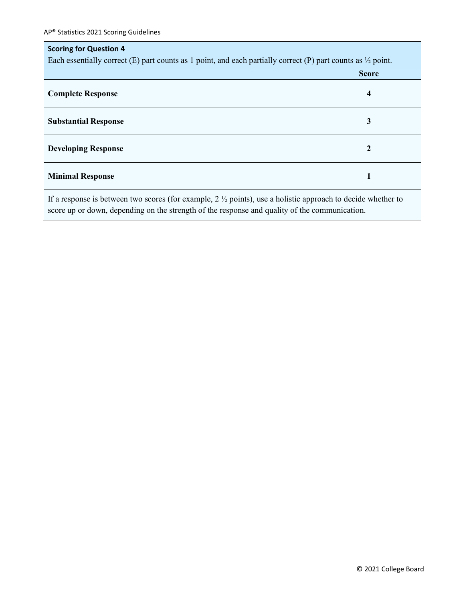## **Scoring for Question 4** Each essentially correct (E) part counts as 1 point, and each partially correct (P) part counts as  $\frac{1}{2}$  point. **Score Complete Response 4 Substantial Response 3 Developing Response 2 Minimal Response 1**

If a response is between two scores (for example, 2 ½ points), use a holistic approach to decide whether to score up or down, depending on the strength of the response and quality of the communication.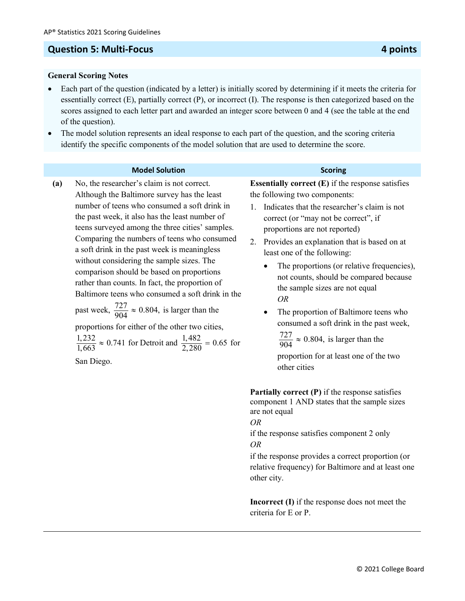#### **Question 5: Multi-Focus 4 points**

#### **General Scoring Notes**

- Each part of the question (indicated by a letter) is initially scored by determining if it meets the criteria for essentially correct (E), partially correct (P), or incorrect (I). The response is then categorized based on the scores assigned to each letter part and awarded an integer score between 0 and 4 (see the table at the end of the question).
- The model solution represents an ideal response to each part of the question, and the scoring criteria identify the specific components of the model solution that are used to determine the score.

#### **Model Solution Scoring**

**(a)** No, the researcher's claim is not correct. Although the Baltimore survey has the least number of teens who consumed a soft drink in the past week, it also has the least number of teens surveyed among the three cities' samples. Comparing the numbers of teens who consumed a soft drink in the past week is meaningless without considering the sample sizes. The comparison should be based on proportions rather than counts. In fact, the proportion of Baltimore teens who consumed a soft drink in the

past week,  $\frac{727}{904} \approx 0.804$ , is larger than the

proportions for either of the other two cities,

 $\frac{1,232}{1,663} \approx 0.741$  for Detroit and  $\frac{1,482}{2,280} = 0.65$  for

San Diego.

**Essentially correct (E)** if the response satisfies the following two components:

- 1. Indicates that the researcher's claim is not correct (or "may not be correct", if proportions are not reported)
- 2. Provides an explanation that is based on at least one of the following:
	- The proportions (or relative frequencies), not counts, should be compared because the sample sizes are not equal *OR*
	- The proportion of Baltimore teens who consumed a soft drink in the past week,

 $\frac{727}{904} \approx 0.804$ , is larger than the

proportion for at least one of the two other cities

**Partially correct (P)** if the response satisfies component 1 AND states that the sample sizes are not equal *OR*

if the response satisfies component 2 only *OR*

if the response provides a correct proportion (or relative frequency) for Baltimore and at least one other city.

**Incorrect (I)** if the response does not meet the criteria for E or P.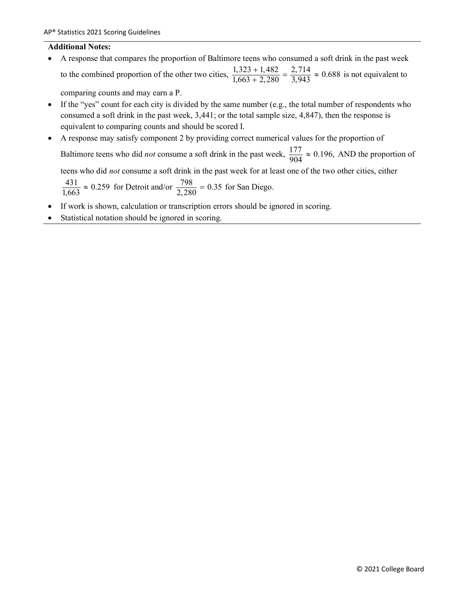• A response that compares the proportion of Baltimore teens who consumed a soft drink in the past week to the combined proportion of the other two cities,  $\frac{1,323 + 1,482}{1,663 + 2,280} = \frac{2,714}{3,943} \approx 0.688$  is not equivalent to

comparing counts and may earn a P.

- If the "yes" count for each city is divided by the same number (e.g., the total number of respondents who consumed a soft drink in the past week, 3,441; or the total sample size, 4,847), then the response is equivalent to comparing counts and should be scored I.
- A response may satisfy component 2 by providing correct numerical values for the proportion of Baltimore teens who did *not* consume a soft drink in the past week,  $\frac{177}{904} \approx 0.196$ , AND the proportion of

teens who did *not* consume a soft drink in the past week for at least one of the two other cities, either

 $\frac{431}{1,663} \approx 0.259$  for Detroit and/or  $\frac{798}{2,280} = 0.35$  for San Diego.

- If work is shown, calculation or transcription errors should be ignored in scoring.
- Statistical notation should be ignored in scoring.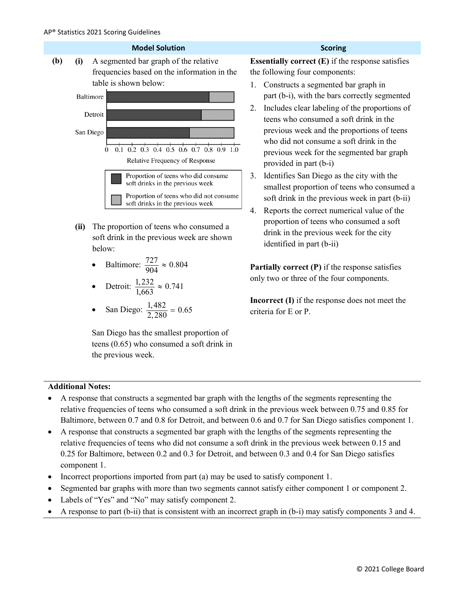

- **(ii)** The proportion of teens who consumed a soft drink in the previous week are shown below:
	- Baltimore:  $\frac{727}{904} \approx 0.804$
	- Detroit:  $\frac{1,232}{1,663} \approx 0.741$
	- San Diego:  $\frac{1,482}{2,280} = 0.65$

San Diego has the smallest proportion of teens (0.65) who consumed a soft drink in the previous week.

**Essentially correct (E)** if the response satisfies the following four components:

- 1. Constructs a segmented bar graph in part (b-i), with the bars correctly segmented
- 2. Includes clear labeling of the proportions of teens who consumed a soft drink in the previous week and the proportions of teens who did not consume a soft drink in the previous week for the segmented bar graph provided in part (b-i)
- 3. Identifies San Diego as the city with the smallest proportion of teens who consumed a soft drink in the previous week in part (b-ii)
- 4. Reports the correct numerical value of the proportion of teens who consumed a soft drink in the previous week for the city identified in part (b-ii)

**Partially correct (P)** if the response satisfies only two or three of the four components.

**Incorrect (I)** if the response does not meet the criteria for E or P.

- A response that constructs a segmented bar graph with the lengths of the segments representing the relative frequencies of teens who consumed a soft drink in the previous week between 0.75 and 0.85 for Baltimore, between 0.7 and 0.8 for Detroit, and between 0.6 and 0.7 for San Diego satisfies component 1.
- A response that constructs a segmented bar graph with the lengths of the segments representing the relative frequencies of teens who did not consume a soft drink in the previous week between 0.15 and 0.25 for Baltimore, between 0.2 and 0.3 for Detroit, and between 0.3 and 0.4 for San Diego satisfies component 1.
- Incorrect proportions imported from part (a) may be used to satisfy component 1.
- Segmented bar graphs with more than two segments cannot satisfy either component 1 or component 2.
- Labels of "Yes" and "No" may satisfy component 2.
- A response to part (b-ii) that is consistent with an incorrect graph in (b-i) may satisfy components 3 and 4.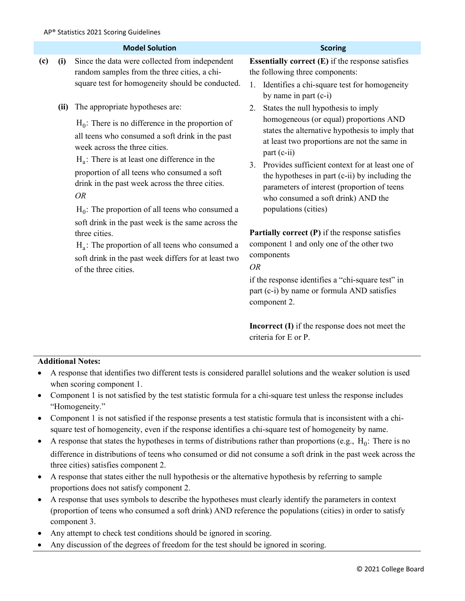|     |      | <b>Model Solution</b>                                                                                                                                                                                                                                                                                                                                                                                                                                                                                                                                                                                           | <b>Scoring</b>                                                                                                                                                                                                                                                                                                                                                                                                                                                                                                                                                                                                                                                                                   |
|-----|------|-----------------------------------------------------------------------------------------------------------------------------------------------------------------------------------------------------------------------------------------------------------------------------------------------------------------------------------------------------------------------------------------------------------------------------------------------------------------------------------------------------------------------------------------------------------------------------------------------------------------|--------------------------------------------------------------------------------------------------------------------------------------------------------------------------------------------------------------------------------------------------------------------------------------------------------------------------------------------------------------------------------------------------------------------------------------------------------------------------------------------------------------------------------------------------------------------------------------------------------------------------------------------------------------------------------------------------|
| (c) | (i)  | Since the data were collected from independent<br>random samples from the three cities, a chi-<br>square test for homogeneity should be conducted.                                                                                                                                                                                                                                                                                                                                                                                                                                                              | <b>Essentially correct <math>(E)</math> if the response satisfies</b><br>the following three components:<br>1. Identifies a chi-square test for homogeneity<br>by name in part (c-i)                                                                                                                                                                                                                                                                                                                                                                                                                                                                                                             |
|     | (ii) | The appropriate hypotheses are:<br>$H_0$ : There is no difference in the proportion of<br>all teens who consumed a soft drink in the past<br>week across the three cities.<br>$H_a$ : There is at least one difference in the<br>proportion of all teens who consumed a soft<br>drink in the past week across the three cities.<br><i>OR</i><br>$H_0$ : The proportion of all teens who consumed a<br>soft drink in the past week is the same across the<br>three cities.<br>$H_a$ : The proportion of all teens who consumed a<br>soft drink in the past week differs for at least two<br>of the three cities. | States the null hypothesis to imply<br>2.<br>homogeneous (or equal) proportions AND<br>states the alternative hypothesis to imply that<br>at least two proportions are not the same in<br>part (c-ii)<br>Provides sufficient context for at least one of<br>3.<br>the hypotheses in part (c-ii) by including the<br>parameters of interest (proportion of teens<br>who consumed a soft drink) AND the<br>populations (cities)<br><b>Partially correct <math>(P)</math></b> if the response satisfies<br>component 1 and only one of the other two<br>components<br><b>OR</b><br>if the response identifies a "chi-square test" in<br>part (c-i) by name or formula AND satisfies<br>component 2. |

**Incorrect (I)** if the response does not meet the criteria for E or P.

- A response that identifies two different tests is considered parallel solutions and the weaker solution is used when scoring component 1.
- Component 1 is not satisfied by the test statistic formula for a chi-square test unless the response includes "Homogeneity."
- Component 1 is not satisfied if the response presents a test statistic formula that is inconsistent with a chisquare test of homogeneity, even if the response identifies a chi-square test of homogeneity by name.
- A response that states the hypotheses in terms of distributions rather than proportions (e.g.,  $H_0$ : There is no difference in distributions of teens who consumed or did not consume a soft drink in the past week across the three cities) satisfies component 2.
- A response that states either the null hypothesis or the alternative hypothesis by referring to sample proportions does not satisfy component 2.
- A response that uses symbols to describe the hypotheses must clearly identify the parameters in context (proportion of teens who consumed a soft drink) AND reference the populations (cities) in order to satisfy component 3.
- Any attempt to check test conditions should be ignored in scoring.
- Any discussion of the degrees of freedom for the test should be ignored in scoring.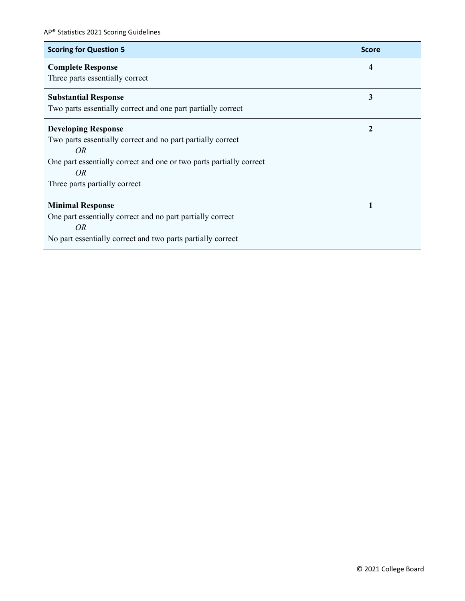| <b>Scoring for Question 5</b>                                       | <b>Score</b> |
|---------------------------------------------------------------------|--------------|
| <b>Complete Response</b>                                            | 4            |
| Three parts essentially correct                                     |              |
| <b>Substantial Response</b>                                         | 3            |
| Two parts essentially correct and one part partially correct        |              |
| <b>Developing Response</b>                                          | 2            |
| Two parts essentially correct and no part partially correct         |              |
| OR                                                                  |              |
| One part essentially correct and one or two parts partially correct |              |
| <i>OR</i>                                                           |              |
| Three parts partially correct                                       |              |
| <b>Minimal Response</b>                                             | 1            |
| One part essentially correct and no part partially correct          |              |
| OR                                                                  |              |
| No part essentially correct and two parts partially correct         |              |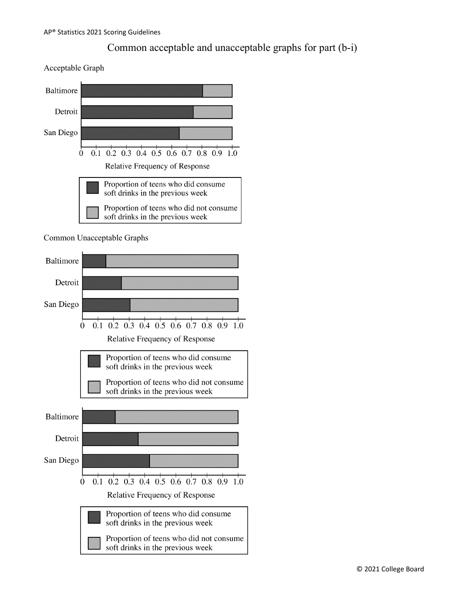### Common acceptable and unacceptable graphs for part (b-i)

Acceptable Graph



Common Unacceptable Graphs

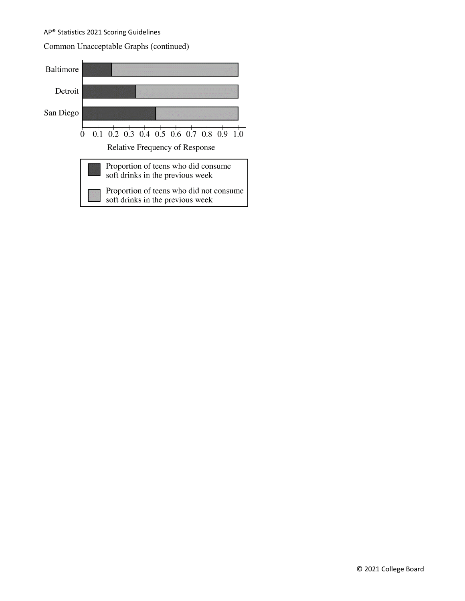#### Common Unacceptable Graphs (continued)

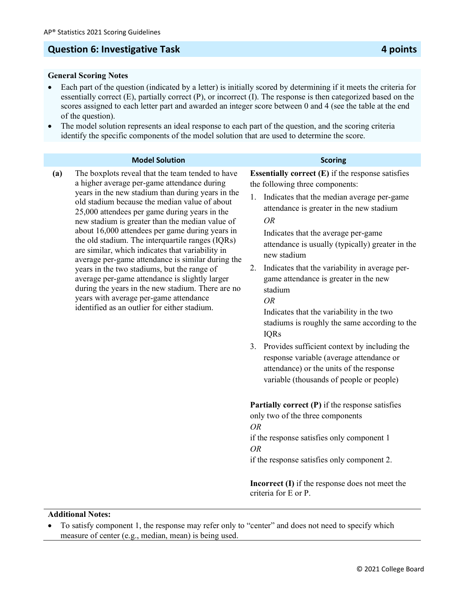### **Question 6: Investigative Task 4 points**

#### **General Scoring Notes**

- Each part of the question (indicated by a letter) is initially scored by determining if it meets the criteria for essentially correct (E), partially correct (P), or incorrect (I). The response is then categorized based on the scores assigned to each letter part and awarded an integer score between 0 and 4 (see the table at the end of the question).
- The model solution represents an ideal response to each part of the question, and the scoring criteria identify the specific components of the model solution that are used to determine the score.

| <b>Model Solution</b>                                                                                                                                                                                                                                                                                                                                                                                                                                                                                                                                                                                                                                                                                                                                                                                                                      | <b>Scoring</b>                                                                                                                                                                                                                                                                                                                                                                                                                                                                                                                                                                                                                                                                                                                                                                                                                                                                                                                                                                                                      |
|--------------------------------------------------------------------------------------------------------------------------------------------------------------------------------------------------------------------------------------------------------------------------------------------------------------------------------------------------------------------------------------------------------------------------------------------------------------------------------------------------------------------------------------------------------------------------------------------------------------------------------------------------------------------------------------------------------------------------------------------------------------------------------------------------------------------------------------------|---------------------------------------------------------------------------------------------------------------------------------------------------------------------------------------------------------------------------------------------------------------------------------------------------------------------------------------------------------------------------------------------------------------------------------------------------------------------------------------------------------------------------------------------------------------------------------------------------------------------------------------------------------------------------------------------------------------------------------------------------------------------------------------------------------------------------------------------------------------------------------------------------------------------------------------------------------------------------------------------------------------------|
| The boxplots reveal that the team tended to have<br>(a)<br>a higher average per-game attendance during<br>years in the new stadium than during years in the<br>old stadium because the median value of about<br>25,000 attendees per game during years in the<br><b>OR</b><br>new stadium is greater than the median value of<br>about 16,000 attendees per game during years in<br>the old stadium. The interquartile ranges (IQRs)<br>are similar, which indicates that variability in<br>average per-game attendance is similar during the<br>2.<br>years in the two stadiums, but the range of<br>average per-game attendance is slightly larger<br>during the years in the new stadium. There are no<br>years with average per-game attendance<br><b>OR</b><br>identified as an outlier for either stadium.<br><b>OR</b><br><b>OR</b> | <b>Essentially correct <math>(E)</math> if the response satisfies</b><br>the following three components:<br>1. Indicates that the median average per-game<br>attendance is greater in the new stadium<br>Indicates that the average per-game<br>attendance is usually (typically) greater in the<br>new stadium<br>Indicates that the variability in average per-<br>game attendance is greater in the new<br>stadium<br>Indicates that the variability in the two<br>stadiums is roughly the same according to the<br><b>IQRs</b><br>3. Provides sufficient context by including the<br>response variable (average attendance or<br>attendance) or the units of the response<br>variable (thousands of people or people)<br><b>Partially correct <math>(P)</math></b> if the response satisfies<br>only two of the three components<br>if the response satisfies only component 1<br>if the response satisfies only component 2.<br><b>Incorrect (I)</b> if the response does not meet the<br>criteria for E or P. |

<sup>•</sup> To satisfy component 1, the response may refer only to "center" and does not need to specify which measure of center (e.g., median, mean) is being used.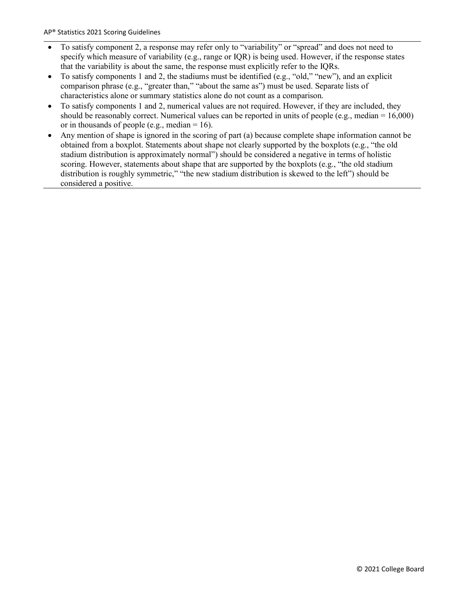- To satisfy component 2, a response may refer only to "variability" or "spread" and does not need to specify which measure of variability (e.g., range or IQR) is being used. However, if the response states that the variability is about the same, the response must explicitly refer to the IQRs.
- To satisfy components 1 and 2, the stadiums must be identified (e.g., "old," "new"), and an explicit comparison phrase (e.g., "greater than," "about the same as") must be used. Separate lists of characteristics alone or summary statistics alone do not count as a comparison.
- To satisfy components 1 and 2, numerical values are not required. However, if they are included, they should be reasonably correct. Numerical values can be reported in units of people (e.g., median = 16,000) or in thousands of people (e.g., median = 16).
- Any mention of shape is ignored in the scoring of part (a) because complete shape information cannot be obtained from a boxplot. Statements about shape not clearly supported by the boxplots (e.g., "the old stadium distribution is approximately normal") should be considered a negative in terms of holistic scoring. However, statements about shape that are supported by the boxplots (e.g., "the old stadium distribution is roughly symmetric," "the new stadium distribution is skewed to the left") should be considered a positive.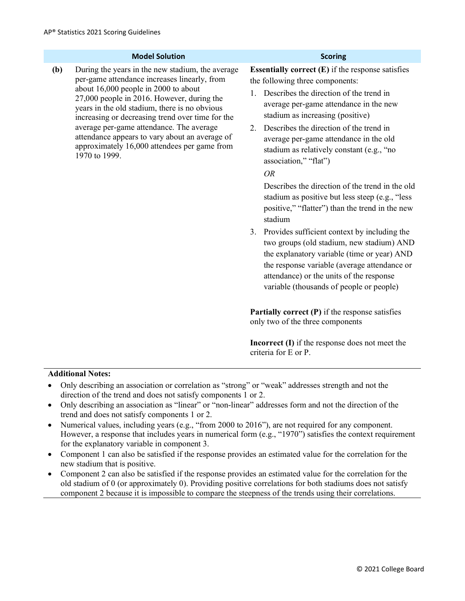#### **Model Solution Scoring**

**(b)** During the years in the new stadium, the average per-game attendance increases linearly, from about 16,000 people in 2000 to about 27,000 people in 2016. However, during the years in the old stadium, there is no obvious increasing or decreasing trend over time for the average per-game attendance. The average attendance appears to vary about an average of approximately 16,000 attendees per game from 1970 to 1999.

**Essentially correct (E)** if the response satisfies the following three components:

- 1. Describes the direction of the trend in average per-game attendance in the new stadium as increasing (positive)
- 2. Describes the direction of the trend in average per-game attendance in the old stadium as relatively constant (e.g., "no association," "flat")

*OR* 

Describes the direction of the trend in the old stadium as positive but less steep (e.g., "less positive," "flatter") than the trend in the new stadium

3. Provides sufficient context by including the two groups (old stadium, new stadium) AND the explanatory variable (time or year) AND the response variable (average attendance or attendance) or the units of the response variable (thousands of people or people)

**Partially correct (P)** if the response satisfies only two of the three components

**Incorrect (I)** if the response does not meet the criteria for E or P.

- Only describing an association or correlation as "strong" or "weak" addresses strength and not the direction of the trend and does not satisfy components 1 or 2.
- Only describing an association as "linear" or "non-linear" addresses form and not the direction of the trend and does not satisfy components 1 or 2.
- Numerical values, including years (e.g., "from 2000 to 2016"), are not required for any component. However, a response that includes years in numerical form (e.g., "1970") satisfies the context requirement for the explanatory variable in component 3.
- Component 1 can also be satisfied if the response provides an estimated value for the correlation for the new stadium that is positive.
- Component 2 can also be satisfied if the response provides an estimated value for the correlation for the old stadium of 0 (or approximately 0). Providing positive correlations for both stadiums does not satisfy component 2 because it is impossible to compare the steepness of the trends using their correlations.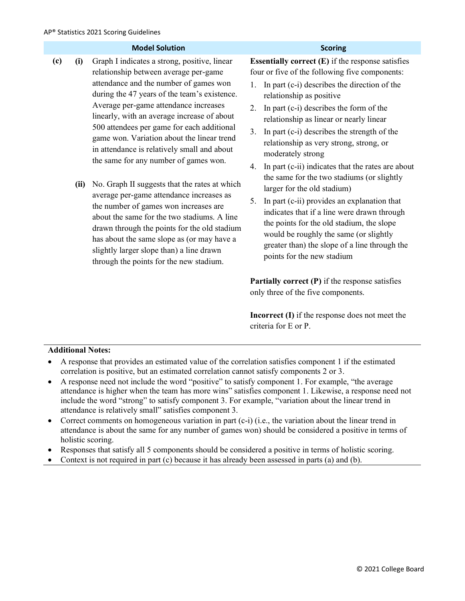|     |      | <b>Model Solution</b>                                                                                                                                                                                                                                                                                                                                                                                                                                       | <b>Scoring</b>                                                                                                                                                                                                                                                                                                                                                                                                                                                                     |
|-----|------|-------------------------------------------------------------------------------------------------------------------------------------------------------------------------------------------------------------------------------------------------------------------------------------------------------------------------------------------------------------------------------------------------------------------------------------------------------------|------------------------------------------------------------------------------------------------------------------------------------------------------------------------------------------------------------------------------------------------------------------------------------------------------------------------------------------------------------------------------------------------------------------------------------------------------------------------------------|
| (c) | (i)  | Graph I indicates a strong, positive, linear<br>relationship between average per-game<br>attendance and the number of games won<br>during the 47 years of the team's existence.<br>Average per-game attendance increases<br>linearly, with an average increase of about<br>500 attendees per game for each additional<br>game won. Variation about the linear trend<br>in attendance is relatively small and about<br>the same for any number of games won. | <b>Essentially correct <math>(E)</math> if the response satisfies</b><br>four or five of the following five components:<br>In part (c-i) describes the direction of the<br>1.<br>relationship as positive<br>2. In part (c-i) describes the form of the<br>relationship as linear or nearly linear<br>In part (c-i) describes the strength of the<br>3.<br>relationship as very strong, strong, or<br>moderately strong<br>In part (c-ii) indicates that the rates are about<br>4. |
|     | (ii) | No. Graph II suggests that the rates at which<br>average per-game attendance increases as<br>the number of games won increases are<br>about the same for the two stadiums. A line<br>drawn through the points for the old stadium<br>has about the same slope as (or may have a<br>slightly larger slope than) a line drawn<br>through the points for the new stadium.                                                                                      | the same for the two stadiums (or slightly<br>larger for the old stadium)<br>In part (c-ii) provides an explanation that<br>5.<br>indicates that if a line were drawn through<br>the points for the old stadium, the slope<br>would be roughly the same (or slightly<br>greater than) the slope of a line through the<br>points for the new stadium                                                                                                                                |
|     |      |                                                                                                                                                                                                                                                                                                                                                                                                                                                             | <b>Partially correct <math>(P)</math></b> if the response satisfies<br>only three of the five components.                                                                                                                                                                                                                                                                                                                                                                          |

**Incorrect (I)** if the response does not meet the criteria for E or P.

- A response that provides an estimated value of the correlation satisfies component 1 if the estimated correlation is positive, but an estimated correlation cannot satisfy components 2 or 3.
- A response need not include the word "positive" to satisfy component 1. For example, "the average attendance is higher when the team has more wins" satisfies component 1. Likewise, a response need not include the word "strong" to satisfy component 3. For example, "variation about the linear trend in attendance is relatively small" satisfies component 3.
- Correct comments on homogeneous variation in part (c-i) (i.e., the variation about the linear trend in attendance is about the same for any number of games won) should be considered a positive in terms of holistic scoring.
- Responses that satisfy all 5 components should be considered a positive in terms of holistic scoring.
- Context is not required in part (c) because it has already been assessed in parts (a) and (b).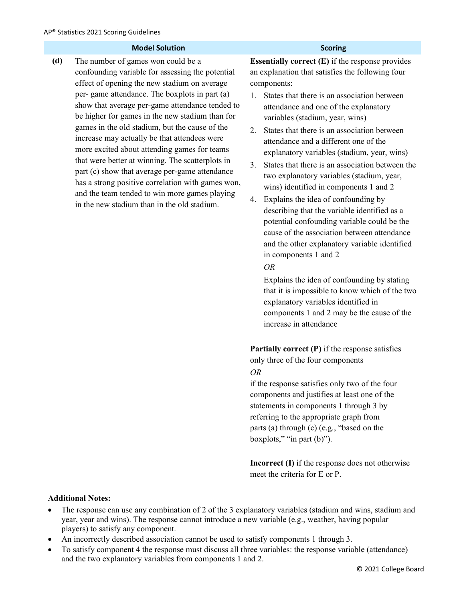| <b>Model Solution</b>                                                                                                                                                                                                                                                                                                                                                                                                                                                                                                                                                                                                                                                                                             | <b>Scoring</b>                                                                                                                                                                                                                                                                                                                                                                                                                                                                                                                                                                                                                                                                                                                                                                                                                                                                                                                                                                                                                                                          |
|-------------------------------------------------------------------------------------------------------------------------------------------------------------------------------------------------------------------------------------------------------------------------------------------------------------------------------------------------------------------------------------------------------------------------------------------------------------------------------------------------------------------------------------------------------------------------------------------------------------------------------------------------------------------------------------------------------------------|-------------------------------------------------------------------------------------------------------------------------------------------------------------------------------------------------------------------------------------------------------------------------------------------------------------------------------------------------------------------------------------------------------------------------------------------------------------------------------------------------------------------------------------------------------------------------------------------------------------------------------------------------------------------------------------------------------------------------------------------------------------------------------------------------------------------------------------------------------------------------------------------------------------------------------------------------------------------------------------------------------------------------------------------------------------------------|
| (d)<br>The number of games won could be a<br>confounding variable for assessing the potential<br>effect of opening the new stadium on average<br>per-game attendance. The boxplots in part (a)<br>show that average per-game attendance tended to<br>be higher for games in the new stadium than for<br>games in the old stadium, but the cause of the<br>increase may actually be that attendees were<br>more excited about attending games for teams<br>that were better at winning. The scatterplots in<br>part (c) show that average per-game attendance<br>has a strong positive correlation with games won,<br>and the team tended to win more games playing<br>in the new stadium than in the old stadium. | <b>Essentially correct <math>(E)</math></b> if the response provides<br>an explanation that satisfies the following four<br>components:<br>States that there is an association between<br>1.<br>attendance and one of the explanatory<br>variables (stadium, year, wins)<br>States that there is an association between<br>2.<br>attendance and a different one of the<br>explanatory variables (stadium, year, wins)<br>States that there is an association between the<br>3.<br>two explanatory variables (stadium, year,<br>wins) identified in components 1 and 2<br>Explains the idea of confounding by<br>4.<br>describing that the variable identified as a<br>potential confounding variable could be the<br>cause of the association between attendance<br>and the other explanatory variable identified<br>in components 1 and 2<br><b>OR</b><br>Explains the idea of confounding by stating<br>that it is impossible to know which of the two<br>explanatory variables identified in<br>components 1 and 2 may be the cause of the<br>increase in attendance |
|                                                                                                                                                                                                                                                                                                                                                                                                                                                                                                                                                                                                                                                                                                                   | <b>Partially correct (P)</b> if the response satisfies<br>only three of the four components<br><b>OR</b><br>if the response satisfies only two of the four<br>components and justifies at least one of the<br>statements in components 1 through 3 by<br>referring to the appropriate graph from<br>parts (a) through (c) (e.g., "based on the<br>boxplots," "in part (b)").<br><b>Incorrect (I)</b> if the response does not otherwise<br>meet the criteria for E or P.                                                                                                                                                                                                                                                                                                                                                                                                                                                                                                                                                                                                |

- The response can use any combination of 2 of the 3 explanatory variables (stadium and wins, stadium and year, year and wins). The response cannot introduce a new variable (e.g., weather, having popular players) to satisfy any component.
- An incorrectly described association cannot be used to satisfy components 1 through 3.
- To satisfy component 4 the response must discuss all three variables: the response variable (attendance) and the two explanatory variables from components 1 and 2.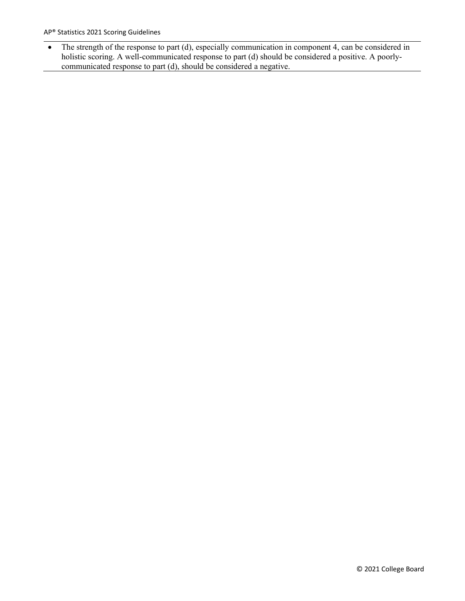• The strength of the response to part (d), especially communication in component 4, can be considered in holistic scoring. A well-communicated response to part (d) should be considered a positive. A poorlycommunicated response to part (d), should be considered a negative.